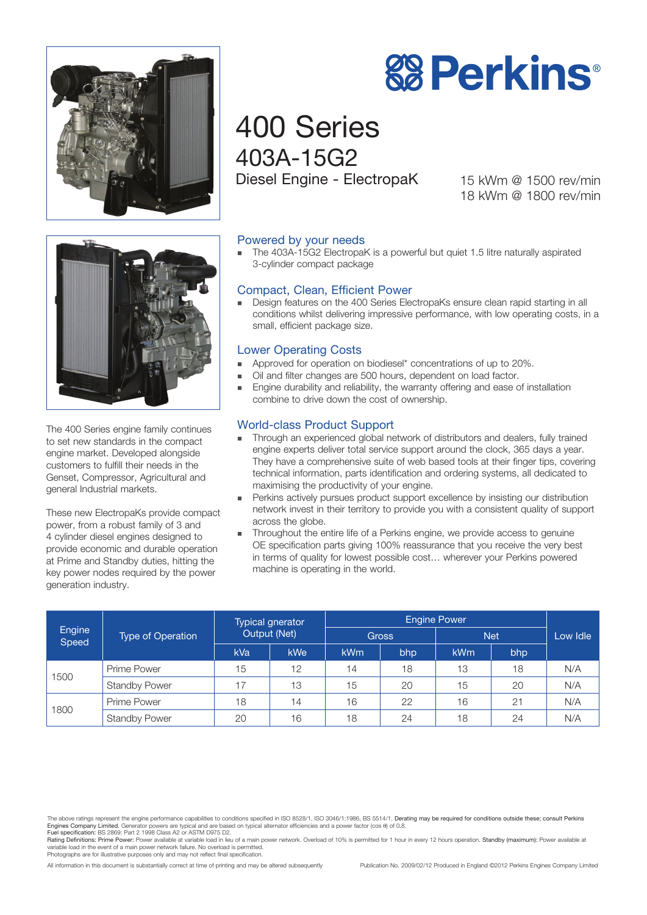



# 400 Series 403A-15G2 Diesel Engine - ElectropaK

15 kWm @ 1500 rev/min 18 kWm @ 1800 rev/min



The 400 Series engine family continues to set new standards in the compact engine market. Developed alongside customers to fulfill their needs in the Genset, Compressor, Agricultural and general Industrial markets.

These new ElectropaKs provide compact power, from a robust family of 3 and 4 cylinder diesel engines designed to provide economic and durable operation at Prime and Standby duties, hitting the key power nodes required by the power generation industry.

# Powered by your needs

The 403A-15G2 ElectropaK is a powerful but quiet 1.5 litre naturally aspirated 3-cylinder compact package

#### Compact, Clean, Efficient Power

<sup>n</sup> Design features on the 400 Series ElectropaKs ensure clean rapid starting in all conditions whilst delivering impressive performance, with low operating costs, in a small, efficient package size.

## Lower Operating Costs

- Approved for operation on biodiesel\* concentrations of up to 20%.
- Oil and filter changes are 500 hours, dependent on load factor.
- Engine durability and reliability, the warranty offering and ease of installation combine to drive down the cost of ownership.

# World-class Product Support

- Through an experienced global network of distributors and dealers, fully trained engine experts deliver total service support around the clock, 365 days a year. They have a comprehensive suite of web based tools at their finger tips, covering technical information, parts identification and ordering systems, all dedicated to maximising the productivity of your engine.
- n Perkins actively pursues product support excellence by insisting our distribution network invest in their territory to provide you with a consistent quality of support across the globe.
- Throughout the entire life of a Perkins engine, we provide access to genuine OE specification parts giving 100% reassurance that you receive the very best in terms of quality for lowest possible cost… wherever your Perkins powered machine is operating in the world.

| Engine<br>Speed | <b>Type of Operation</b> | Typical gnerator<br><b>Output (Net)</b> |            | <b>Engine Power</b> |     |            |     |          |
|-----------------|--------------------------|-----------------------------------------|------------|---------------------|-----|------------|-----|----------|
|                 |                          |                                         |            | <b>Gross</b>        |     | <b>Net</b> |     | Low Idle |
|                 |                          | kVa                                     | <b>kWe</b> | <b>kWm</b>          | bhp | kWm        | bhp |          |
| 1500            | Prime Power              | 15                                      | 12         | 14                  | 18  | 13         | 18  | N/A      |
|                 | <b>Standby Power</b>     | 17                                      | 13         | 15                  | 20  | 15         | 20  | N/A      |
| 1800            | Prime Power              | 18                                      | 14         | 16                  | 22  | 16         | 21  | N/A      |
|                 | <b>Standby Power</b>     | 20                                      | 16         | 18                  | 24  | 18         | 24  | N/A      |

The above ratings represent the engine performance capabilities to conditions specified in ISO 8528/1, ISO 3046/1:1986, BS 5514/1. Derating may be required for conditions outside these; consult Perkins Engines Company Limited. Generator powers are typical and are based on typical alternator efficiencies and a power factor (cos θ) of 0.8. Fuel specification: BS 2869: Part 2 1998 Class A2 or ASTM D975 D2.

Rating Definitions: Prime Power: Power available at variable load in lieu of a main power network. Overload of 10% is permitted for 1 hour in every 12 hours operation. Standby (maximum): Power available at variable load in the event of a main power network failure. No overload is permitted. Photographs are for illustrative purposes only and may not reflect final specification.

All information in this document is substantially correct at time of printing and may be altered subsequently Publication No. 2009/02/12 Produced in England ©2012 Perkins Engines Company Limited